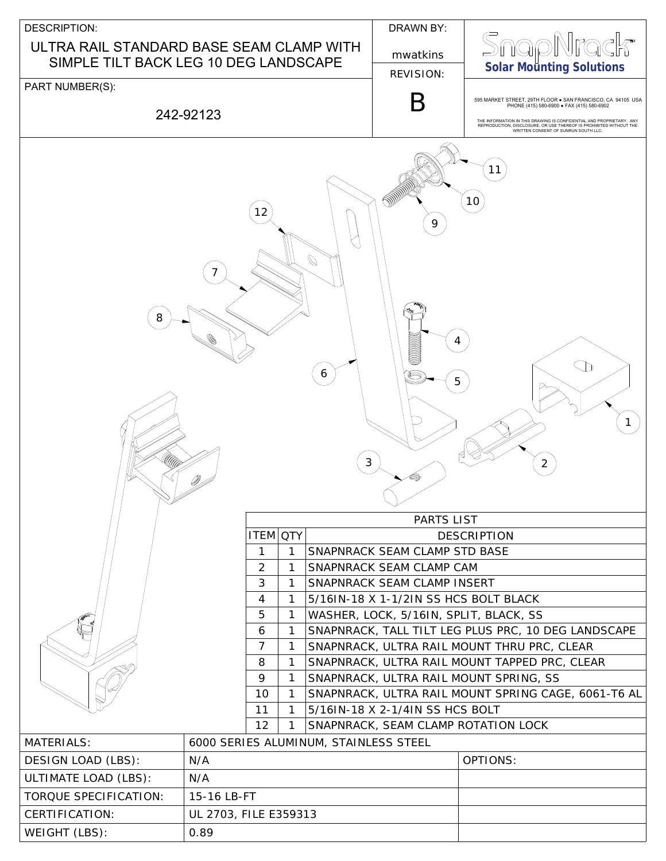